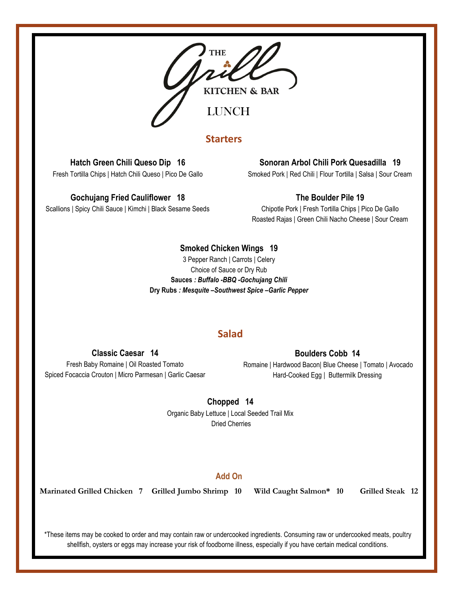

# **Starters**

# **Hatch Green Chili Queso Dip 16**

Fresh Tortilla Chips | Hatch Chili Queso | Pico De Gallo

### **Gochujang Fried Cauliflower 18**

Scallions | Spicy Chili Sauce | Kimchi | Black Sesame Seeds

## **Sonoran Arbol Chili Pork Quesadilla 19**

Smoked Pork | Red Chili | Flour Tortilla | Salsa | Sour Cream

## **The Boulder Pile 19**

Chipotle Pork | Fresh Tortilla Chips | Pico De Gallo Roasted Rajas | Green Chili Nacho Cheese | Sour Cream

### **Smoked Chicken Wings 19**

3 Pepper Ranch | Carrots | Celery Choice of Sauce or Dry Rub **Sauces** *: Buffalo -BBQ -Gochujang Chili* **Dry Rubs** *: Mesquite –Southwest Spice –Garlic Pepper*

## **Salad**

#### **Classic Caesar 14**

#### **Boulders Cobb 14**

Fresh Baby Romaine | Oil Roasted Tomato Spiced Focaccia Crouton | Micro Parmesan | Garlic Caesar

Romaine | Hardwood Bacon| Blue Cheese | Tomato | Avocado Hard-Cooked Egg | Buttermilk Dressing

## **Chopped 14**

Organic Baby Lettuce | Local Seeded Trail Mix Dried Cherries

## **Add On**

**Marinated Grilled Chicken 7 Grilled Jumbo Shrimp 10 Wild Caught Salmon\* 10 Grilled Steak 12**

\*These items may be cooked to order and may contain raw or undercooked ingredients. Consuming raw or undercooked meats, poultry shellfish, oysters or eggs may increase your risk of foodborne illness, especially if you have certain medical conditions.